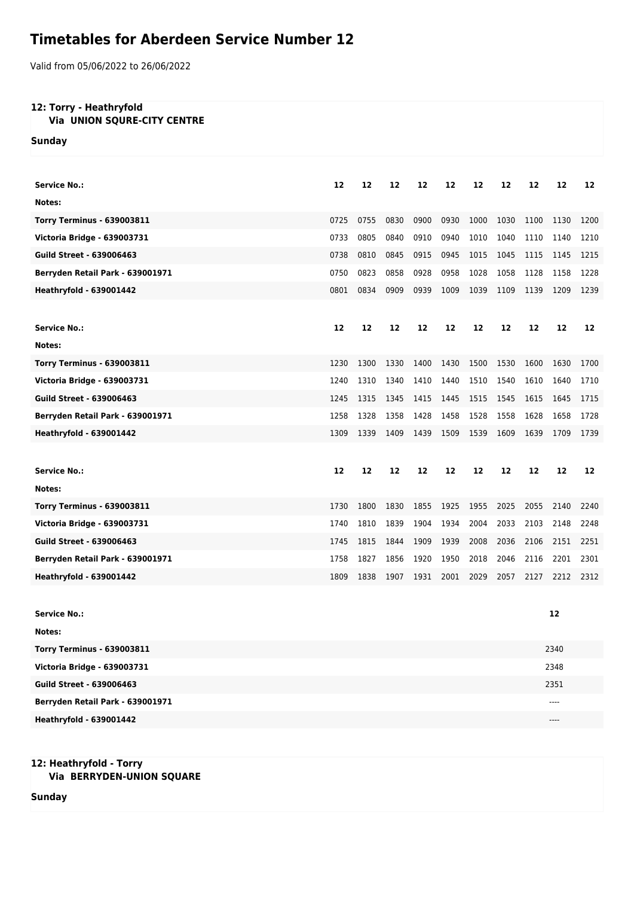## **Timetables for Aberdeen Service Number 12**

Valid from 05/06/2022 to 26/06/2022

## **12: Torry - Heathryfold**

## **Via UNION SQURE-CITY CENTRE**

**Sunday**

| Service No.:                      | 12   | 12   | 12   | 12   | 12   | 12   | 12   | 12   | 12   | 12   |
|-----------------------------------|------|------|------|------|------|------|------|------|------|------|
| Notes:                            |      |      |      |      |      |      |      |      |      |      |
| <b>Torry Terminus - 639003811</b> | 0725 | 0755 | 0830 | 0900 | 0930 | 1000 | 1030 | 1100 | 1130 | 1200 |
| Victoria Bridge - 639003731       | 0733 | 0805 | 0840 | 0910 | 0940 | 1010 | 1040 | 1110 | 1140 | 1210 |
| <b>Guild Street - 639006463</b>   | 0738 | 0810 | 0845 | 0915 | 0945 | 1015 | 1045 | 1115 | 1145 | 1215 |
| Berryden Retail Park - 639001971  | 0750 | 0823 | 0858 | 0928 | 0958 | 1028 | 1058 | 1128 | 1158 | 1228 |
| <b>Heathryfold - 639001442</b>    | 0801 | 0834 | 0909 | 0939 | 1009 | 1039 | 1109 | 1139 | 1209 | 1239 |
|                                   |      |      |      |      |      |      |      |      |      |      |
| <b>Service No.:</b>               | 12   | 12   | 12   | 12   | 12   | 12   | 12   | 12   | 12   | 12   |
| Notes:                            |      |      |      |      |      |      |      |      |      |      |
| <b>Torry Terminus - 639003811</b> | 1230 | 1300 | 1330 | 1400 | 1430 | 1500 | 1530 | 1600 | 1630 | 1700 |
| Victoria Bridge - 639003731       | 1240 | 1310 | 1340 | 1410 | 1440 | 1510 | 1540 | 1610 | 1640 | 1710 |
| <b>Guild Street - 639006463</b>   | 1245 | 1315 | 1345 | 1415 | 1445 | 1515 | 1545 | 1615 | 1645 | 1715 |
| Berryden Retail Park - 639001971  | 1258 | 1328 | 1358 | 1428 | 1458 | 1528 | 1558 | 1628 | 1658 | 1728 |
| <b>Heathryfold - 639001442</b>    | 1309 | 1339 | 1409 | 1439 | 1509 | 1539 | 1609 | 1639 | 1709 | 1739 |
|                                   |      |      |      |      |      |      |      |      |      |      |
|                                   |      |      |      |      |      |      |      |      |      |      |
| <b>Service No.:</b>               | 12   | 12   | 12   | 12   | 12   | 12   | 12   | 12   | 12   | 12   |
| Notes:                            |      |      |      |      |      |      |      |      |      |      |
| <b>Torry Terminus - 639003811</b> | 1730 | 1800 | 1830 | 1855 | 1925 | 1955 | 2025 | 2055 | 2140 | 2240 |
| Victoria Bridge - 639003731       | 1740 | 1810 | 1839 | 1904 | 1934 | 2004 | 2033 | 2103 | 2148 | 2248 |
| <b>Guild Street - 639006463</b>   | 1745 | 1815 | 1844 | 1909 | 1939 | 2008 | 2036 | 2106 | 2151 | 2251 |
| Berryden Retail Park - 639001971  | 1758 | 1827 | 1856 | 1920 | 1950 | 2018 | 2046 | 2116 | 2201 | 2301 |
| <b>Heathryfold - 639001442</b>    | 1809 | 1838 | 1907 | 1931 | 2001 | 2029 | 2057 | 2127 | 2212 | 2312 |
|                                   |      |      |      |      |      |      |      |      |      |      |
| <b>Service No.:</b>               |      |      |      |      |      |      |      |      | 12   |      |
| Notes:                            |      |      |      |      |      |      |      |      |      |      |
| <b>Torry Terminus - 639003811</b> |      |      |      |      |      |      |      |      | 2340 |      |
| Victoria Bridge - 639003731       |      |      |      |      |      |      |      |      | 2348 |      |
| <b>Guild Street - 639006463</b>   |      |      |      |      |      |      |      |      | 2351 |      |
| Berryden Retail Park - 639001971  |      |      |      |      |      |      |      |      | ---- |      |
| <b>Heathryfold - 639001442</b>    |      |      |      |      |      |      |      |      | ---- |      |

## **12: Heathryfold - Torry Via BERRYDEN-UNION SQUARE**

**Sunday**